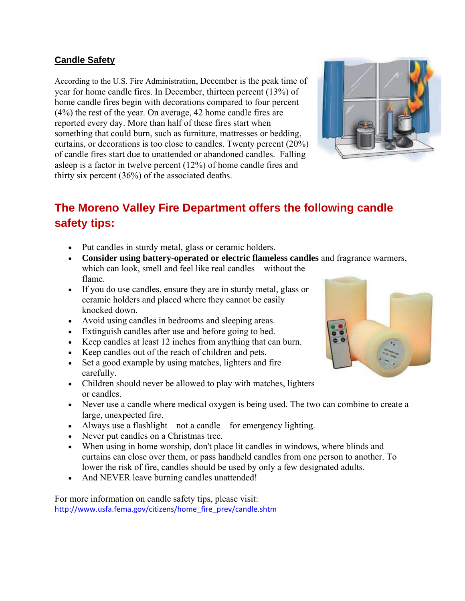### **Candle Safety**

According to the U.S. Fire Administration, December is the peak time of year for home candle fires. In December, thirteen percent (13%) of home candle fires begin with decorations compared to four percent (4%) the rest of the year. On average, 42 home candle fires are reported every day. More than half of these fires start when something that could burn, such as furniture, mattresses or bedding, curtains, or decorations is too close to candles. Twenty percent (20%) of candle fires start due to unattended or abandoned candles. Falling asleep is a factor in twelve percent (12%) of home candle fires and thirty six percent (36%) of the associated deaths.



# **The Moreno Valley Fire Department offers the following candle safety tips:**

- Put candles in sturdy metal, glass or ceramic holders.
- **Consider using battery-operated or electric flameless candles** and fragrance warmers, which can look, smell and feel like real candles – without the flame.
- If you do use candles, ensure they are in sturdy metal, glass or ceramic holders and placed where they cannot be easily knocked down.
- Avoid using candles in bedrooms and sleeping areas.
- Extinguish candles after use and before going to bed.
- Keep candles at least 12 inches from anything that can burn.
- Keep candles out of the reach of children and pets.
- Set a good example by using matches, lighters and fire carefully.
- Children should never be allowed to play with matches, lighters or candles.
- Never use a candle where medical oxygen is being used. The two can combine to create a large, unexpected fire.
- Always use a flashlight not a candle for emergency lighting.
- Never put candles on a Christmas tree.
- When using in home worship, don't place lit candles in windows, where blinds and curtains can close over them, or pass handheld candles from one person to another. To lower the risk of fire, candles should be used by only a few designated adults.
- And NEVER leave burning candles unattended!

For more information on candle safety tips, please visit: [http://www.usfa.fema.gov/citizens/home\\_fire\\_prev/candle.shtm](http://www.usfa.fema.gov/citizens/home_fire_prev/candle.shtm)

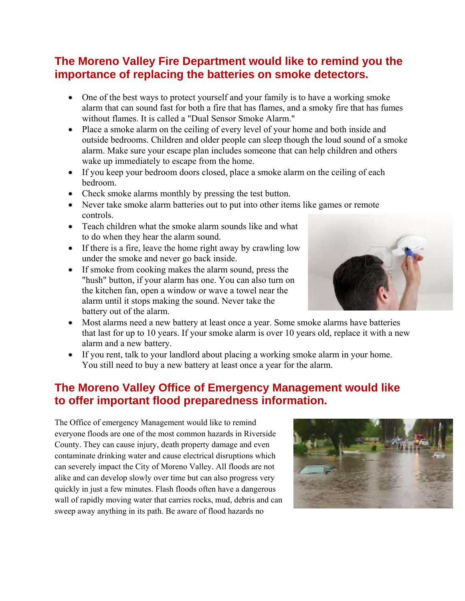## **The Moreno Valley Fire Department would like to remind you the importance of replacing the batteries on smoke detectors.**

- One of the best ways to protect yourself and your family is to have a working smoke alarm that can sound fast for both a fire that has flames, and a smoky fire that has fumes without flames. It is called a "Dual Sensor Smoke Alarm."
- Place a smoke alarm on the ceiling of every level of your home and both inside and outside bedrooms. Children and older people can sleep though the loud sound of a smoke alarm. Make sure your escape plan includes someone that can help children and others wake up immediately to escape from the home.
- If you keep your bedroom doors closed, place a smoke alarm on the ceiling of each bedroom.
- Check smoke alarms monthly by pressing the test button.
- Never take smoke alarm batteries out to put into other items like games or remote controls.
- Teach children what the smoke alarm sounds like and what to do when they hear the alarm sound.
- If there is a fire, leave the home right away by crawling low under the smoke and never go back inside.
- If smoke from cooking makes the alarm sound, press the "hush" button, if your alarm has one. You can also turn on the kitchen fan, open a window or wave a towel near the alarm until it stops making the sound. Never take the battery out of the alarm.



- Most alarms need a new battery at least once a year. Some smoke alarms have batteries that last for up to 10 years. If your smoke alarm is over 10 years old, replace it with a new alarm and a new battery.
- If you rent, talk to your landlord about placing a working smoke alarm in your home. You still need to buy a new battery at least once a year for the alarm.

### **The Moreno Valley Office of Emergency Management would like to offer important flood preparedness information.**

The Office of emergency Management would like to remind everyone floods are one of the most common hazards in Riverside County. They can cause injury, death property damage and even contaminate drinking water and cause electrical disruptions which can severely impact the City of Moreno Valley. All floods are not alike and can develop slowly over time but can also progress very quickly in just a few minutes. Flash floods often have a dangerous wall of rapidly moving water that carries rocks, mud, debris and can sweep away anything in its path. Be aware of flood hazards no